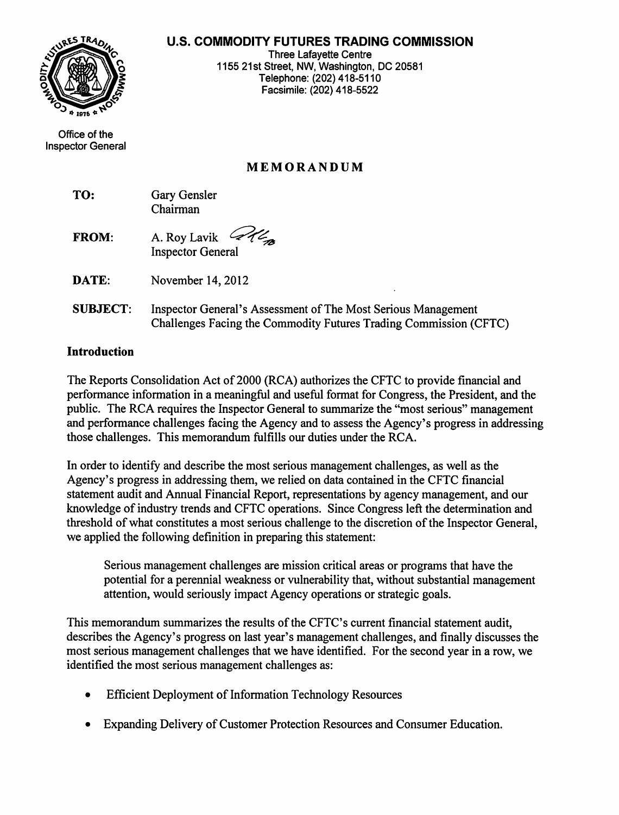# aES TR

#### U.S. COMMODITY FUTURES TRADING COMMISSION

Three Lafayette Centre 1155 21st Street, NW, Washington, DC 20581 Telephone: (202) 418-5110 Facsimile: (202) 418-5522

Office of the Inspector General

# MEMORANDUM

| TO: | Gary Gensler |
|-----|--------------|
|     | Chairman     |

FROM: A. Roy Lavik  $\mathscr{A}$ Inspector General

DATE: November 14, 2012

SUBJECT: Inspector General's Assessment of The Most Serious Management Challenges Facing the Commodity Futures Trading Commission (CFTC)

## Introduction

The Reports Consolidation Act of 2000 (RCA) authorizes the CFTC to provide financial and performance information in a meaningful and useful format for Congress, the President, and the public. The RCA requires the Inspector General to summarize the "most serious" management and performance challenges facing the Agency and to assess the Agency's progress in addressing those challenges. This memorandum fulfills our duties under the RCA.

In order to identify and describe the most serious management challenges, as well as the Agency's progress in addressing them, we relied on data contained in the CFTC financial statement audit and Annual Financial Report, representations by agency management, and our knowledge of industry trends and CFTC operations. Since Congress left the determination and threshold of what constitutes a most serious challenge to the discretion of the Inspector General, we applied the following definition in preparing this statement:

Serious management challenges are mission critical areas or programs that have the potential for a perennial weakness or vulnerability that, without substantial management attention, would seriously impact Agency operations or strategic goals.

This memorandum summarizes the results of the CFTC's current financial statement audit, describes the Agency's progress on last year's management challenges, and finally discusses the most serious management challenges that we have identified. For the second year in a row, we identified the most serious management challenges as:

- Efficient Deployment of Information Technology Resources
- Expanding Delivery of Customer Protection Resources and Consumer Education.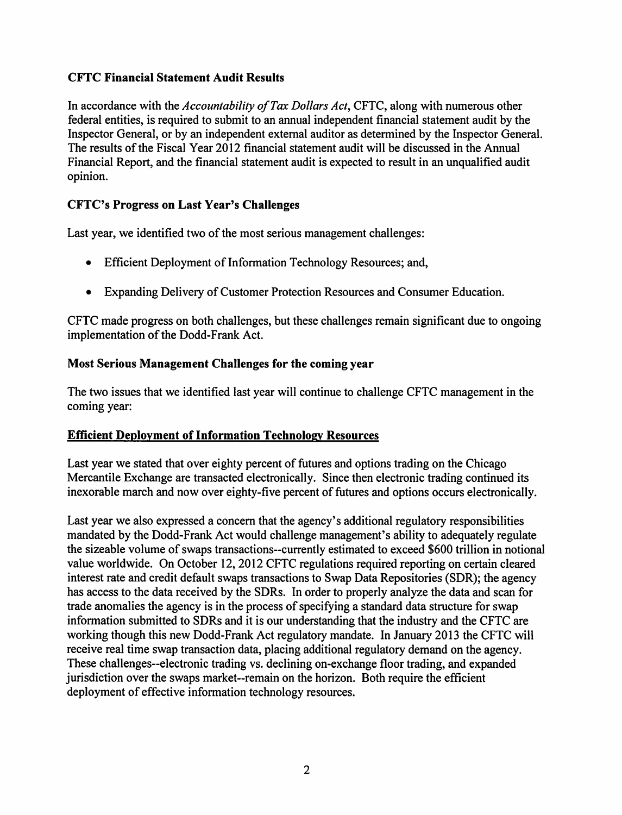# CFTC Financial Statement Audit Results

In accordance with the *Accountability of Tax Dollars Act*, CFTC, along with numerous other federal entities, is required to submit to an annual independent financial statement audit by the Inspector General, or by an independent external auditor as determined by the Inspector General. The results of the Fiscal Year 2012 financial statement audit will be discussed in the Annual Financial Report, and the financial statement audit is expected to result in an unqualified audit opinion.

# CFTC's Progress on Last Year's Challenges

Last year, we identified two of the most serious management challenges:

- Efficient Deployment of Information Technology Resources; and,
- Expanding Delivery of Customer Protection Resources and Consumer Education.

CFTC made progress on both challenges, but these challenges remain significant due to ongoing implementation of the Dodd-Frank Act.

## Most Serious Management Challenges for the coming year

The two issues that we identified last year will continue to challenge CFTC management in the coming year:

## Efficient Deployment of Information Technology Resources

Last year we stated that over eighty percent of futures and options trading on the Chicago Mercantile Exchange are transacted electronically. Since then electronic trading continued its inexorable march and now over eighty-five percent of futures and options occurs electronically.

Last year we also expressed a concern that the agency's additional regulatory responsibilities mandated by the Dodd-Frank Act would challenge management's ability to adequately regulate the sizeable volume of swaps transactions--currently estimated to exceed \$600 trillion in notional value worldwide. On October 12, 2012 CFTC regulations required reporting on certain cleared interest rate and credit default swaps transactions to Swap Data Repositories (SDR); the agency has access to the data received by the SDRs. In order to properly analyze the data and scan for trade anomalies the agency is in the process of specifying a standard data structure for swap information submitted to SDRs and it is our understanding that the industry and the CFTC are working though this new Dodd-Frank Act regulatory mandate. In January 2013 the CFTC will receive real time swap transaction data, placing additional regulatory demand on the agency. These challenges--electronic trading vs. declining on-exchange floor trading, and expanded jurisdiction over the swaps market--remain on the horizon. Both require the efficient deployment of effective information technology resources.